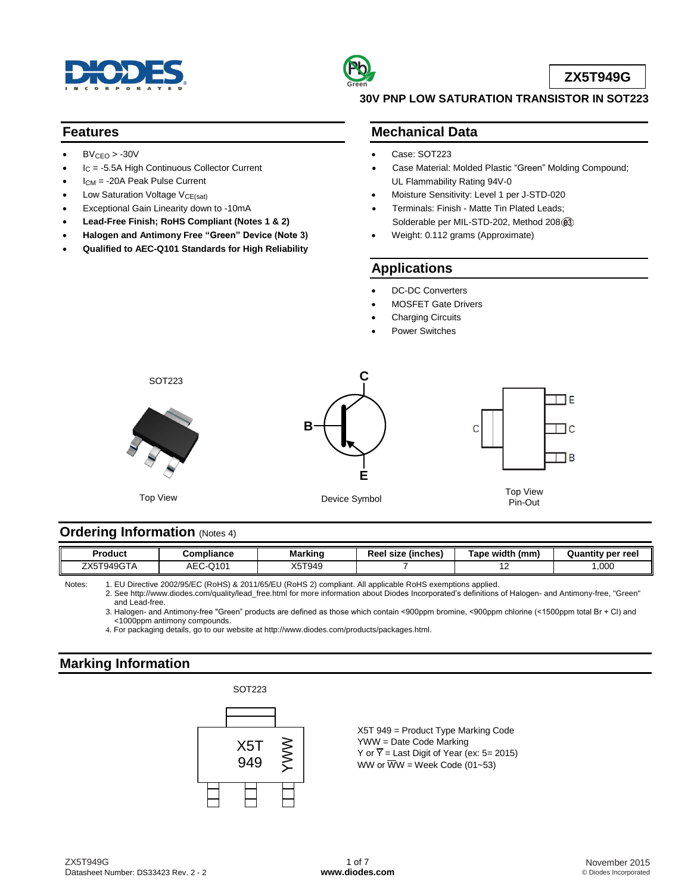



**ZX5T949G**

#### **Features**

- $BV_{CEO} > -30V$
- I<sub>C</sub> = -5.5A High Continuous Collector Current
- ICM = -20A Peak Pulse Current
- Low Saturation Voltage V<sub>CE(sat)</sub>
- Exceptional Gain Linearity down to -10mA
- **Lead-Free Finish; RoHS Compliant (Notes 1 & 2)**
- **Halogen and Antimony Free "Green" Device (Note 3)**
- **Qualified to AEC-Q101 Standards for High Reliability**

### **30V PNP LOW SATURATION TRANSISTOR IN SOT223**

## **Mechanical Data**

- Case: SOT223
- Case Material: Molded Plastic "Green" Molding Compound; UL Flammability Rating 94V-0
- Moisture Sensitivity: Level 1 per J-STD-020
- Terminals: Finish Matte Tin Plated Leads; Solderable per MIL-STD-202, Method 208 $@3$
- Weight: 0.112 grams (Approximate)

## **Applications**

- DC-DC Converters
- MOSFET Gate Drivers
- Charging Circuits
- Power Switches



## **Ordering Information** (Notes 4)

| <b>Product</b>           | :ompliance                            | . .<br>Markinc | <br>Reel<br>(inches)<br>size | Tape width<br>(mm | <b>Quantity per reel</b> |
|--------------------------|---------------------------------------|----------------|------------------------------|-------------------|--------------------------|
| T949GTA<br>ファンニエヘ<br>.X5 | $\bigcap$ 101<br>-<br>ℸ<br>טו ש<br>-- | X5T949         |                              | . .               | ,000                     |

Notes: 1. EU Directive 2002/95/EC (RoHS) & 2011/65/EU (RoHS 2) compliant. All applicable RoHS exemptions applied.

2. See [http://www.diodes.com/quality/lead\\_free.html](http://www.diodes.com/quality/lead_free.html) for more information about Diodes Incorporated's definitions of Halogen- and Antimony-free, "Green" and Lead-free.

3. Halogen- and Antimony-free "Green" products are defined as those which contain <900ppm bromine, <900ppm chlorine (<1500ppm total Br + Cl) and <1000ppm antimony compounds.

4. For packaging details, go to our website a[t http://www.diodes.com/products/packages.html.](http://www.diodes.com/products/packages.html)

## **Marking Information**

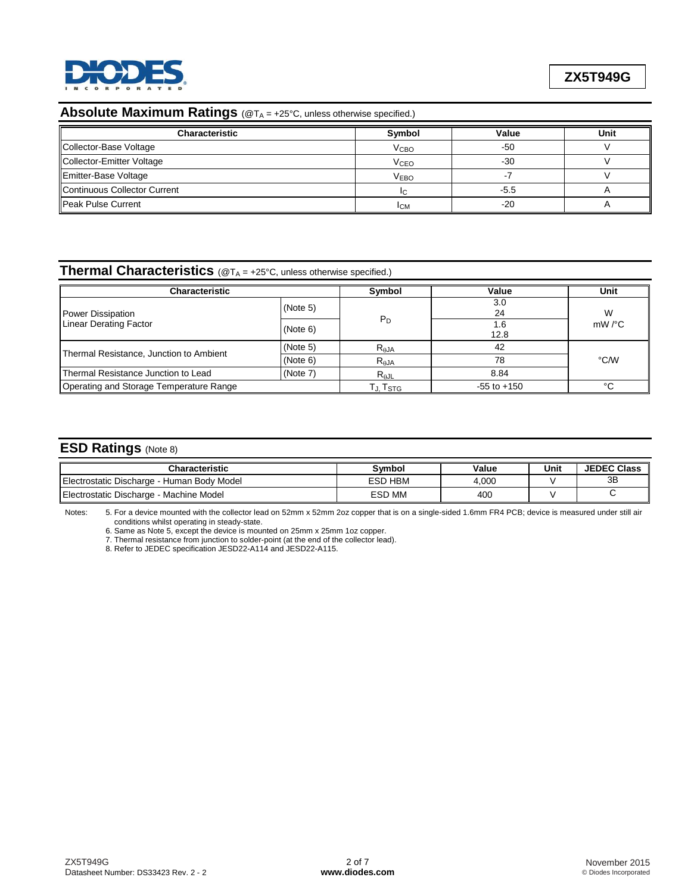

# **Absolute Maximum Ratings** (@T<sub>A</sub> = +25°C, unless otherwise specified.)

| <b>Characteristic</b>        | Symbol                 | Value  | Unit |
|------------------------------|------------------------|--------|------|
| Collector-Base Voltage       | V <sub>CBO</sub>       | -50    |      |
| Collector-Emitter Voltage    | <b>V<sub>CEO</sub></b> | $-30$  |      |
| Emitter-Base Voltage         | <b>VEBO</b>            |        |      |
| Continuous Collector Current | IС                     | $-5.5$ |      |
| llPeak Pulse Current         | <b>ICM</b>             | -20    |      |

# **Thermal Characteristics** (@TA = +25°C, unless otherwise specified.)

| Characteristic                          | Symbol   | Value           | Unit        |                    |
|-----------------------------------------|----------|-----------------|-------------|--------------------|
| <b>Power Dissipation</b>                | (Note 5) |                 | 3.0<br>24   | W                  |
| <b>Linear Derating Factor</b>           | (Note 6) | $P_D$           | 1.6<br>12.8 | $mW$ / $\degree$ C |
|                                         | (Note 5) | $R_{\theta$ JA  | 42          |                    |
| Thermal Resistance, Junction to Ambient | (Note 6) | $R_{\theta}$ JA | 78          | °C/W               |
| Thermal Resistance Junction to Lead     | (Note 7) | $R_{AJL}$       | 8.84        |                    |
| Operating and Storage Temperature Range | Tj. Tstg | $-55$ to $+150$ | °C          |                    |

## **ESD Ratings** (Note 8)

| Characteristic                             | Svmbol            | Value | Unit | <b>JEDEC Class</b> |
|--------------------------------------------|-------------------|-------|------|--------------------|
| Electrostatic Discharge - Human Body Model | <b>HBM</b><br>ESD | 4.000 |      | 3B                 |
| Electrostatic Discharge - Machine Model    | <b>ESD MM</b>     | 400   |      |                    |

Notes: 5. For a device mounted with the collector lead on 52mm x 52mm 2oz copper that is on a single-sided 1.6mm FR4 PCB; device is measured under still air conditions whilst operating in steady-state.

6. Same as Note 5, except the device is mounted on 25mm x 25mm 1oz copper.

7. Thermal resistance from junction to solder-point (at the end of the collector lead).

8. Refer to JEDEC specification JESD22-A114 and JESD22-A115.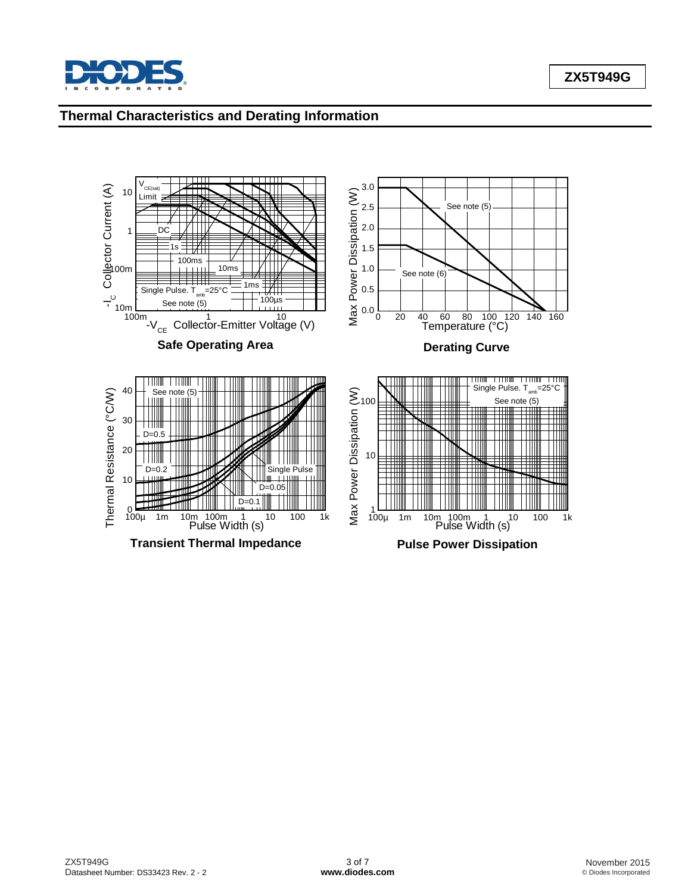

## **Thermal Characteristics and Derating Information**

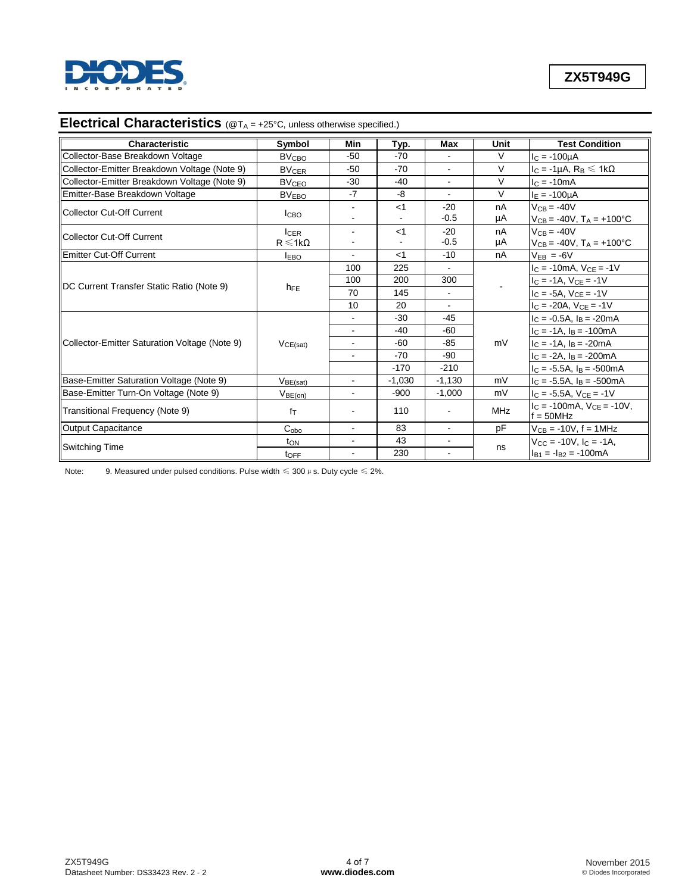

## **Electrical Characteristics** (@T<sub>A</sub> = +25°C, unless otherwise specified.)

| <b>Characteristic</b>                         | Symbol                  | Min            | Typ.     | Max             | Unit       | <b>Test Condition</b>                                      |
|-----------------------------------------------|-------------------------|----------------|----------|-----------------|------------|------------------------------------------------------------|
| Collector-Base Breakdown Voltage              | <b>BV<sub>CBO</sub></b> | $-50$          | $-70$    | $\blacksquare$  | V          | $I_C = -100 \mu A$                                         |
| Collector-Emitter Breakdown Voltage (Note 9)  | <b>BV<sub>CER</sub></b> | $-50$          | $-70$    | $\blacksquare$  | V          | $I_C = -1\mu A$ , $R_B \le 1k\Omega$                       |
| Collector-Emitter Breakdown Voltage (Note 9)  | <b>BV<sub>CEO</sub></b> | $-30$          | $-40$    | $\mathbf{r}$    | V          | $IC = -10mA$                                               |
| Emitter-Base Breakdown Voltage                | <b>BVEBO</b>            | $-7$           | -8       |                 | $\vee$     | $I_F = -100 \mu A$                                         |
| Collector Cut-Off Current                     | <b>ICBO</b>             |                | $<$ 1    | $-20$<br>$-0.5$ | nA<br>μA   | $V_{CB} = -40V$<br>$V_{CB} = -40V$ , $T_A = +100^{\circ}C$ |
|                                               | $I_{CER}$               |                | $<$ 1    | $-20$           | nA         | $V_{CB} = -40V$                                            |
| <b>Collector Cut-Off Current</b>              | $R \le 1k\Omega$        |                |          | $-0.5$          | μA         | $V_{CB} = -40V$ , $T_A = +100^{\circ}C$                    |
| Emitter Cut-Off Current                       | <b>IEBO</b>             | $\blacksquare$ | $<$ 1    | $-10$           | nA         | $V_{EB} = -6V$                                             |
|                                               | $h_{FE}$                | 100            | 225      |                 |            | $I_C = -10mA, V_{CE} = -1V$                                |
| DC Current Transfer Static Ratio (Note 9)     |                         | 100            | 200      | 300             |            | $I_C = -1A$ , $V_{CE} = -1V$                               |
|                                               |                         | 70             | 145      | $\blacksquare$  |            | $I_C = -5A$ , $V_{CE} = -1V$                               |
|                                               |                         | 10             | 20       | $\mathbf{r}$    |            | $I_C = -20A$ , $V_{CE} = -1V$                              |
|                                               | VCE(sat)                |                | $-30$    | $-45$           | mV         | $I_C = -0.5A$ , $I_B = -20mA$                              |
|                                               |                         |                | $-40$    | $-60$           |            | $I_C = -1A$ , $I_B = -100mA$                               |
| Collector-Emitter Saturation Voltage (Note 9) |                         | $\overline{a}$ | $-60$    | $-85$           |            | $I_C = -1A$ , $I_B = -20mA$                                |
|                                               |                         |                | $-70$    | $-90$           |            | $I_C = -2A$ , $I_B = -200mA$                               |
|                                               |                         |                | $-170$   | $-210$          |            | $I_C = -5.5A$ , $I_B = -500mA$                             |
| Base-Emitter Saturation Voltage (Note 9)      | $V_{BE(sat)}$           | $\blacksquare$ | $-1,030$ | $-1,130$        | mV         | $I_C = -5.5A$ , $I_B = -500mA$                             |
| Base-Emitter Turn-On Voltage (Note 9)         | $V_{BE(on)}$            | $\blacksquare$ | $-900$   | $-1,000$        | mV         | $I_C = -5.5A$ , $V_{CE} = -1V$                             |
| Transitional Frequency (Note 9)               | $f_T$                   |                | 110      |                 | <b>MHz</b> | $IC$ = -100mA, $VCF$ = -10V,<br>$f = 50MHz$                |
| Output Capacitance                            | C <sub>obo</sub>        | $\blacksquare$ | 83       | $\blacksquare$  | pF         | $V_{CB} = -10V$ , f = 1MHz                                 |
| Switching Time                                | ton                     | $\blacksquare$ | 43       |                 |            | $V_{CC}$ = -10V, $I_C$ = -1A.                              |
|                                               | t <sub>OFF</sub>        |                | 230      | $\overline{a}$  | ns         | $I_{B1} = -I_{B2} = -100$ mA                               |

Note: 9. Measured under pulsed conditions. Pulse width  $\leqslant$  300  $\mu$  s. Duty cycle  $\leqslant$  2%.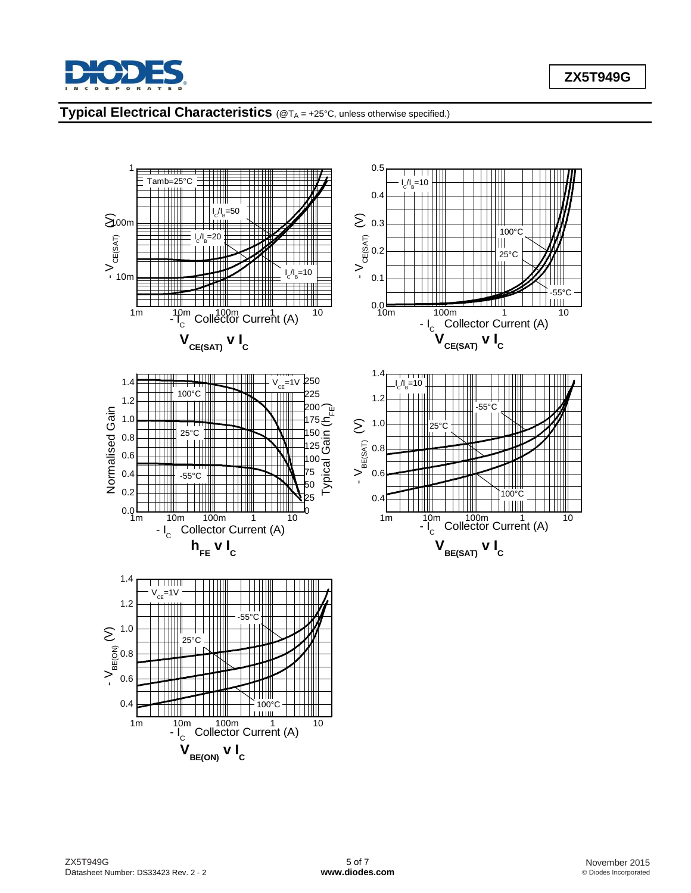

# **Typical Electrical Characteristics** (@TA = +25°C, unless otherwise specified.)

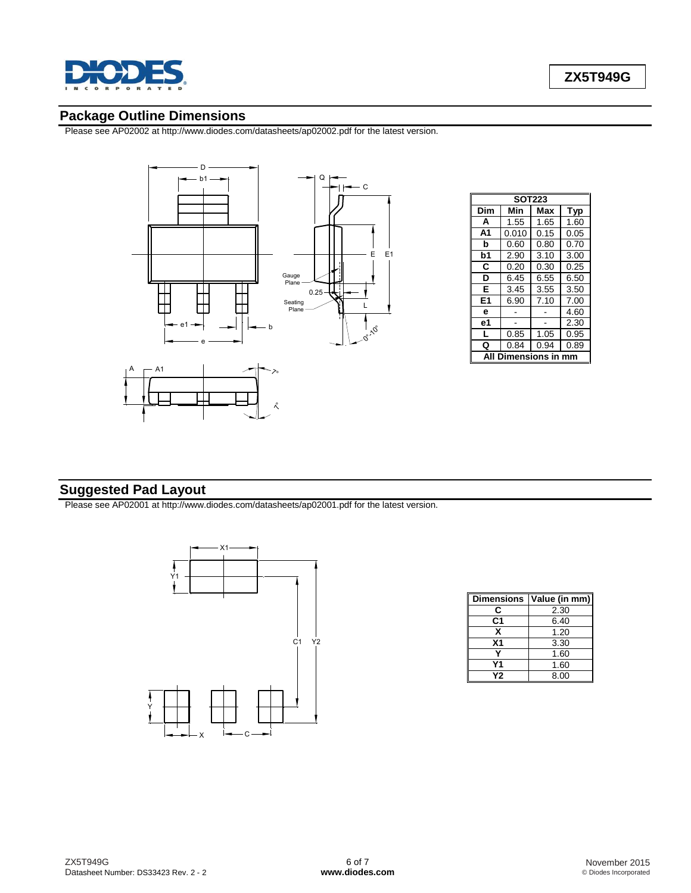

## **Package Outline Dimensions**

Please see AP02002 at [http://www.diodes.com/datasheets/ap02002.pdf fo](http://www.diodes.com/datasheets/ap02002.pdf)r the latest version.



| <b>SOT223</b> |       |      |      |  |  |
|---------------|-------|------|------|--|--|
| Dim           | Min   | Max  | Typ  |  |  |
| A             | 1.55  | 1.65 | 1.60 |  |  |
| A1            | 0.010 | 0.15 | 0.05 |  |  |
| b             | 0.60  | 0.80 | 0.70 |  |  |
| b1            | 2.90  | 3.10 | 3.00 |  |  |
| C             | 0.20  | 0.30 | 0.25 |  |  |
| D             | 6.45  | 6.55 | 6.50 |  |  |
| Е             | 3.45  | 3.55 | 3.50 |  |  |
| E1            | 6.90  | 7.10 | 7.00 |  |  |
| e             |       |      | 4.60 |  |  |
| е1            |       |      | 2.30 |  |  |
| L             | 0.85  | 1.05 | 0.95 |  |  |
| Q             | 0.84  | 0.94 | 0.89 |  |  |
| ıensions      |       |      |      |  |  |

## **Suggested Pad Layout**

Please see AP02001 at [http://www.diodes.com/datasheets/ap02001.pdf fo](http://www.diodes.com/datasheets/ap02001.pdf)r the latest version.



| <b>Dimensions</b> | Value (in mm) |
|-------------------|---------------|
| r                 | 2.30          |
| C1                | 6.40          |
| x                 | 1.20          |
| X <sub>1</sub>    | 3.30          |
|                   | 1.60          |
| Υ1                | 1.60          |
| Υ2                | 8.00          |